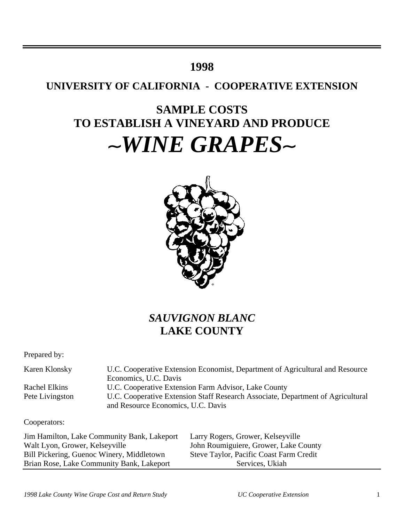## **1998**

## **UNIVERSITY OF CALIFORNIA - COOPERATIVE EXTENSION**

# **SAMPLE COSTS TO ESTABLISH A VINEYARD AND PRODUCE**  $\sim$ *WINE GRAPES* $\sim$



## *SAUVIGNON BLANC* **LAKE COUNTY**

Prepared by:

| Karen Klonsky   | U.C. Cooperative Extension Economist, Department of Agricultural and Resource   |  |  |  |  |  |  |
|-----------------|---------------------------------------------------------------------------------|--|--|--|--|--|--|
|                 | Economics, U.C. Davis                                                           |  |  |  |  |  |  |
| Rachel Elkins   | U.C. Cooperative Extension Farm Advisor, Lake County                            |  |  |  |  |  |  |
| Pete Livingston | U.C. Cooperative Extension Staff Research Associate, Department of Agricultural |  |  |  |  |  |  |
|                 | and Resource Economics, U.C. Davis                                              |  |  |  |  |  |  |

### Cooperators:

Jim Hamilton, Lake Community Bank, Lakeport Larry Rogers, Grower, Kelseyville Walt Lyon, Grower, Kelseyville John Roumiguiere, Grower, Lake County Bill Pickering, Guenoc Winery, Middletown Steve Taylor, Pacific Coast Farm Credit Brian Rose, Lake Community Bank, Lakeport Services, Ukiah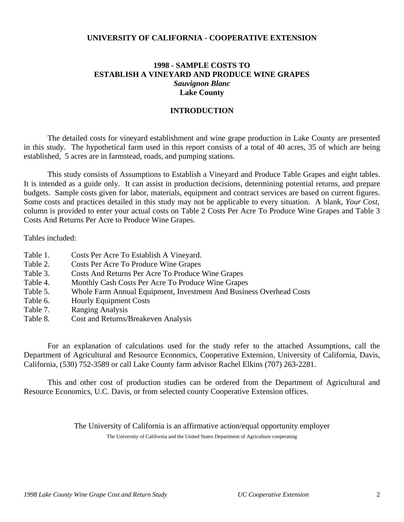### **UNIVERSITY OF CALIFORNIA - COOPERATIVE EXTENSION**

## **1998 - SAMPLE COSTS TO ESTABLISH A VINEYARD AND PRODUCE WINE GRAPES** *Sauvignon Blanc* **Lake County**

### **INTRODUCTION**

The detailed costs for vineyard establishment and wine grape production in Lake County are presented in this study. The hypothetical farm used in this report consists of a total of 40 acres, 35 of which are being established, 5 acres are in farmstead, roads, and pumping stations.

This study consists of Assumptions to Establish a Vineyard and Produce Table Grapes and eight tables. It is intended as a guide only. It can assist in production decisions, determining potential returns, and prepare budgets. Sample costs given for labor, materials, equipment and contract services are based on current figures. Some costs and practices detailed in this study may not be applicable to every situation. A blank, *Your Cost,* column is provided to enter your actual costs on Table 2 Costs Per Acre To Produce Wine Grapes and Table 3 Costs And Returns Per Acre to Produce Wine Grapes.

Tables included:

- Table 1. Costs Per Acre To Establish A Vineyard.
- Table 2. Costs Per Acre To Produce Wine Grapes
- Table 3. Costs And Returns Per Acre To Produce Wine Grapes
- Table 4. Monthly Cash Costs Per Acre To Produce Wine Grapes
- Table 5. Whole Farm Annual Equipment, Investment And Business Overhead Costs
- Table 6. Hourly Equipment Costs
- Table 7. Ranging Analysis
- Table 8. Cost and Returns/Breakeven Analysis

For an explanation of calculations used for the study refer to the attached Assumptions, call the Department of Agricultural and Resource Economics, Cooperative Extension, University of California, Davis, California, (530) 752-3589 or call Lake County farm advisor Rachel Elkins (707) 263-2281.

This and other cost of production studies can be ordered from the Department of Agricultural and Resource Economics, U.C. Davis, or from selected county Cooperative Extension offices.

> The University of California is an affirmative action/equal opportunity employer The University of California and the United States Department of Agriculture cooperating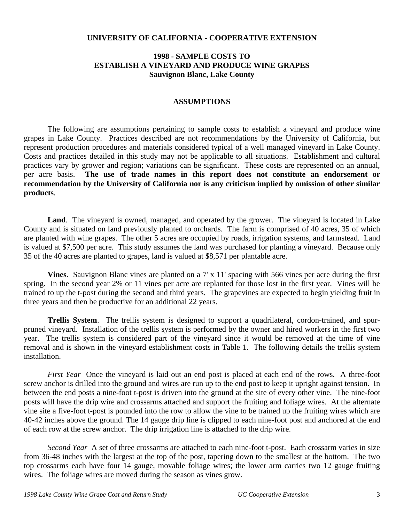### **UNIVERSITY OF CALIFORNIA - COOPERATIVE EXTENSION**

### **1998 - SAMPLE COSTS TO ESTABLISH A VINEYARD AND PRODUCE WINE GRAPES Sauvignon Blanc, Lake County**

### **ASSUMPTIONS**

The following are assumptions pertaining to sample costs to establish a vineyard and produce wine grapes in Lake County. Practices described are not recommendations by the University of California, but represent production procedures and materials considered typical of a well managed vineyard in Lake County. Costs and practices detailed in this study may not be applicable to all situations.Establishment and cultural practices vary by grower and region; variations can be significant. These costs are represented on an annual, per acre basis. **The use of trade names in this report does not constitute an endorsement or recommendation by the University of California nor is any criticism implied by omission of other similar products***.*

**Land**. The vineyard is owned, managed, and operated by the grower. The vineyard is located in Lake County and is situated on land previously planted to orchards. The farm is comprised of 40 acres, 35 of which are planted with wine grapes. The other 5 acres are occupied by roads, irrigation systems, and farmstead. Land is valued at \$7,500 per acre. This study assumes the land was purchased for planting a vineyard. Because only 35 of the 40 acres are planted to grapes, land is valued at \$8,571 per plantable acre.

**Vines**. Sauvignon Blanc vines are planted on a 7' x 11' spacing with 566 vines per acre during the first spring. In the second year 2% or 11 vines per acre are replanted for those lost in the first year. Vines will be trained to up the t-post during the second and third years. The grapevines are expected to begin yielding fruit in three years and then be productive for an additional 22 years.

**Trellis System**. The trellis system is designed to support a quadrilateral, cordon-trained, and spurpruned vineyard. Installation of the trellis system is performed by the owner and hired workers in the first two year. The trellis system is considered part of the vineyard since it would be removed at the time of vine removal and is shown in the vineyard establishment costs in Table 1. The following details the trellis system installation.

*First Year* Once the vineyard is laid out an end post is placed at each end of the rows. A three-foot screw anchor is drilled into the ground and wires are run up to the end post to keep it upright against tension. In between the end posts a nine-foot t-post is driven into the ground at the site of every other vine. The nine-foot posts will have the drip wire and crossarms attached and support the fruiting and foliage wires. At the alternate vine site a five-foot t-post is pounded into the row to allow the vine to be trained up the fruiting wires which are 40-42 inches above the ground. The 14 gauge drip line is clipped to each nine-foot post and anchored at the end of each row at the screw anchor. The drip irrigation line is attached to the drip wire.

*Second Year* A set of three crossarms are attached to each nine-foot t-post. Each crossarm varies in size from 36-48 inches with the largest at the top of the post, tapering down to the smallest at the bottom. The two top crossarms each have four 14 gauge, movable foliage wires; the lower arm carries two 12 gauge fruiting wires. The foliage wires are moved during the season as vines grow.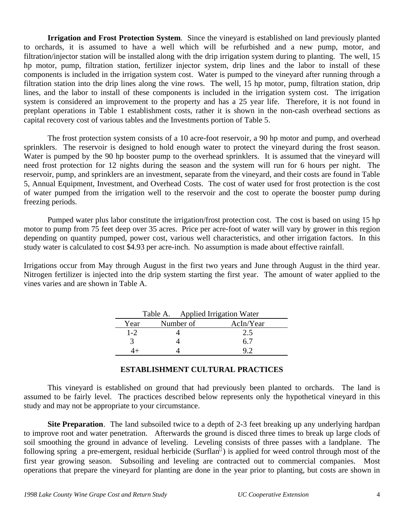**Irrigation and Frost Protection System**. Since the vineyard is established on land previously planted to orchards, it is assumed to have a well which will be refurbished and a new pump, motor, and filtration/injector station will be installed along with the drip irrigation system during to planting. The well, 15 hp motor, pump, filtration station, fertilizer injector system, drip lines and the labor to install of these components is included in the irrigation system cost. Water is pumped to the vineyard after running through a filtration station into the drip lines along the vine rows. The well, 15 hp motor, pump, filtration station, drip lines, and the labor to install of these components is included in the irrigation system cost. The irrigation system is considered an improvement to the property and has a 25 year life. Therefore, it is not found in preplant operations in Table 1 establishment costs, rather it is shown in the non-cash overhead sections as capital recovery cost of various tables and the Investments portion of Table 5.

The frost protection system consists of a 10 acre-foot reservoir, a 90 hp motor and pump, and overhead sprinklers. The reservoir is designed to hold enough water to protect the vineyard during the frost season. Water is pumped by the 90 hp booster pump to the overhead sprinklers. It is assumed that the vineyard will need frost protection for 12 nights during the season and the system will run for 6 hours per night. The reservoir, pump, and sprinklers are an investment, separate from the vineyard, and their costs are found in Table 5, Annual Equipment, Investment, and Overhead Costs. The cost of water used for frost protection is the cost of water pumped from the irrigation well to the reservoir and the cost to operate the booster pump during freezing periods.

Pumped water plus labor constitute the irrigation/frost protection cost. The cost is based on using 15 hp motor to pump from 75 feet deep over 35 acres. Price per acre-foot of water will vary by grower in this region depending on quantity pumped, power cost, various well characteristics, and other irrigation factors. In this study water is calculated to cost \$4.93 per acre-inch. No assumption is made about effective rainfall.

Irrigations occur from May through August in the first two years and June through August in the third year. Nitrogen fertilizer is injected into the drip system starting the first year. The amount of water applied to the vines varies and are shown in Table A.

|         | Table A. Applied Irrigation Water |           |
|---------|-----------------------------------|-----------|
| Year    | Number of                         | AcIn/Year |
| $1 - 2$ |                                   | 2.5       |
|         |                                   | 67        |
|         |                                   |           |

## **ESTABLISHMENT CULTURAL PRACTICES**

This vineyard is established on ground that had previously been planted to orchards. The land is assumed to be fairly level. The practices described below represents only the hypothetical vineyard in this study and may not be appropriate to your circumstance.

**Site Preparation**. The land subsoiled twice to a depth of 2-3 feet breaking up any underlying hardpan to improve root and water penetration. Afterwards the ground is disced three times to break up large clods of soil smoothing the ground in advance of leveling. Leveling consists of three passes with a landplane. The following spring a pre-emergent, residual herbicide (Surflan ) is applied for weed control through most of the first year growing season. Subsoiling and leveling are contracted out to commercial companies. Most operations that prepare the vineyard for planting are done in the year prior to planting, but costs are shown in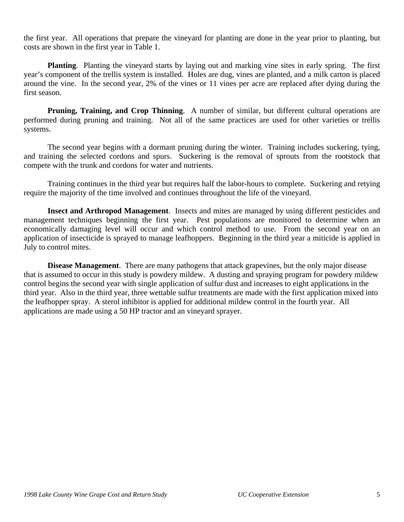the first year. All operations that prepare the vineyard for planting are done in the year prior to planting, but costs are shown in the first year in Table 1.

**Planting**. Planting the vineyard starts by laying out and marking vine sites in early spring. The first year's component of the trellis system is installed. Holes are dug, vines are planted, and a milk carton is placed around the vine. In the second year, 2% of the vines or 11 vines per acre are replaced after dying during the first season.

**Pruning, Training, and Crop Thinning.** A number of similar, but different cultural operations are performed during pruning and training. Not all of the same practices are used for other varieties or trellis systems.

The second year begins with a dormant pruning during the winter. Training includes suckering, tying, and training the selected cordons and spurs. Suckering is the removal of sprouts from the rootstock that compete with the trunk and cordons for water and nutrients.

Training continues in the third year but requires half the labor-hours to complete. Suckering and retying require the majority of the time involved and continues throughout the life of the vineyard.

**Insect and Arthropod Management**. Insects and mites are managed by using different pesticides and management techniques beginning the first year. Pest populations are monitored to determine when an economically damaging level will occur and which control method to use. From the second year on an application of insecticide is sprayed to manage leafhoppers. Beginning in the third year a miticide is applied in July to control mites.

**Disease Management**. There are many pathogens that attack grapevines, but the only major disease that is assumed to occur in this study is powdery mildew. A dusting and spraying program for powdery mildew control begins the second year with single application of sulfur dust and increases to eight applications in the third year. Also in the third year, three wettable sulfur treatments are made with the first application mixed into the leafhopper spray. A sterol inhibitor is applied for additional mildew control in the fourth year. All applications are made using a 50 HP tractor and an vineyard sprayer.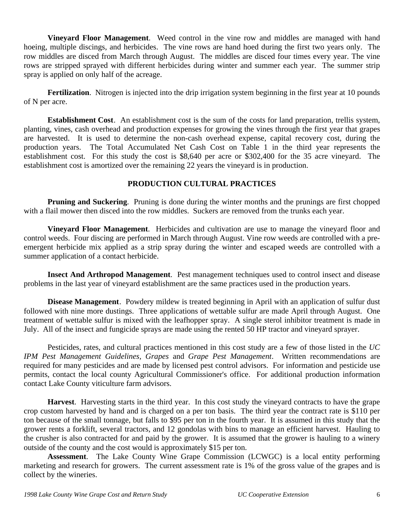**Vineyard Floor Management**. Weed control in the vine row and middles are managed with hand hoeing, multiple discings, and herbicides. The vine rows are hand hoed during the first two years only. The row middles are disced from March through August. The middles are disced four times every year. The vine rows are stripped sprayed with different herbicides during winter and summer each year. The summer strip spray is applied on only half of the acreage.

**Fertilization**. Nitrogen is injected into the drip irrigation system beginning in the first year at 10 pounds of N per acre.

**Establishment Cost**. An establishment cost is the sum of the costs for land preparation, trellis system, planting, vines, cash overhead and production expenses for growing the vines through the first year that grapes are harvested. It is used to determine the non-cash overhead expense, capital recovery cost, during the production years. The Total Accumulated Net Cash Cost on Table 1 in the third year represents the establishment cost. For this study the cost is \$8,640 per acre or \$302,400 for the 35 acre vineyard. The establishment cost is amortized over the remaining 22 years the vineyard is in production.

### **PRODUCTION CULTURAL PRACTICES**

**Pruning and Suckering.** Pruning is done during the winter months and the prunings are first chopped with a flail mower then disced into the row middles. Suckers are removed from the trunks each year.

**Vineyard Floor Management**. Herbicides and cultivation are use to manage the vineyard floor and control weeds. Four discing are performed in March through August. Vine row weeds are controlled with a preemergent herbicide mix applied as a strip spray during the winter and escaped weeds are controlled with a summer application of a contact herbicide.

**Insect And Arthropod Management**. Pest management techniques used to control insect and disease problems in the last year of vineyard establishment are the same practices used in the production years.

**Disease Management**. Powdery mildew is treated beginning in April with an application of sulfur dust followed with nine more dustings. Three applications of wettable sulfur are made April through August. One treatment of wettable sulfur is mixed with the leafhopper spray. A single sterol inhibitor treatment is made in July. All of the insect and fungicide sprays are made using the rented 50 HP tractor and vineyard sprayer.

Pesticides, rates, and cultural practices mentioned in this cost study are a few of those listed in the *UC IPM Pest Management Guidelines, Grapes* and *Grape Pest Management*. Written recommendations are required for many pesticides and are made by licensed pest control advisors. For information and pesticide use permits, contact the local county Agricultural Commissioner's office. For additional production information contact Lake County viticulture farm advisors.

**Harvest**. Harvesting starts in the third year. In this cost study the vineyard contracts to have the grape crop custom harvested by hand and is charged on a per ton basis. The third year the contract rate is \$110 per ton because of the small tonnage, but falls to \$95 per ton in the fourth year. It is assumed in this study that the grower rents a forklift, several tractors, and 12 gondolas with bins to manage an efficient harvest. Hauling to the crusher is also contracted for and paid by the grower. It is assumed that the grower is hauling to a winery outside of the county and the cost would is approximately \$15 per ton.

**Assessment**. The Lake County Wine Grape Commission (LCWGC) is a local entity performing marketing and research for growers. The current assessment rate is 1% of the gross value of the grapes and is collect by the wineries.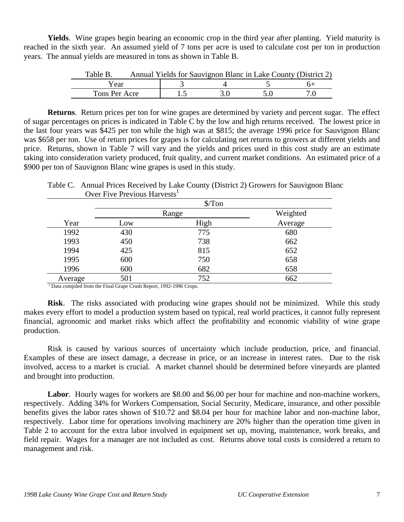**Yields**. Wine grapes begin bearing an economic crop in the third year after planting.Yield maturity is reached in the sixth year. An assumed yield of 7 tons per acre is used to calculate cost per ton in production years. The annual yields are measured in tons as shown in Table B.

| Table B.      |  |  | Annual Yields for Sauvignon Blanc in Lake County (District 2) |
|---------------|--|--|---------------------------------------------------------------|
| Year          |  |  |                                                               |
| Tons Per Acre |  |  |                                                               |

**Returns**. Return prices per ton for wine grapes are determined by variety and percent sugar. The effect of sugar percentages on prices is indicated in Table C by the low and high returns received. The lowest price in the last four years was \$425 per ton while the high was at \$815; the average 1996 price for Sauvignon Blanc was \$658 per ton. Use of return prices for grapes is for calculating net returns to growers at different yields and price. Returns, shown in Table 7 will vary and the yields and prices used in this cost study are an estimate taking into consideration variety produced, fruit quality, and current market conditions. An estimated price of a \$900 per ton of Sauvignon Blanc wine grapes is used in this study.

|         |     | $\sqrt{\pi}$ on |          |
|---------|-----|-----------------|----------|
|         |     | Range           | Weighted |
| Year    | Low | High            | Average  |
| 1992    | 430 | 775             | 680      |
| 1993    | 450 | 738             | 662      |
| 1994    | 425 | 815             | 652      |
| 1995    | 600 | 750             | 658      |
| 1996    | 600 | 682             | 658      |
| Average | 501 | 752             | 662      |

Table C. Annual Prices Received by Lake County (District 2) Growers for Sauvignon Blanc Over Five Previous Harvests $<sup>1</sup>$ </sup>

<sup>1</sup> Data compiled from the Final Grape Crush Report, 1992-1996 Crops.

**Risk**. The risks associated with producing wine grapes should not be minimized. While this study makes every effort to model a production system based on typical, real world practices, it cannot fully represent financial, agronomic and market risks which affect the profitability and economic viability of wine grape production.

Risk is caused by various sources of uncertainty which include production, price, and financial. Examples of these are insect damage, a decrease in price, or an increase in interest rates. Due to the risk involved, access to a market is crucial. A market channel should be determined before vineyards are planted and brought into production.

Labor. Hourly wages for workers are \$8.00 and \$6.00 per hour for machine and non-machine workers, respectively. Adding 34% for Workers Compensation, Social Security, Medicare, insurance, and other possible benefits gives the labor rates shown of \$10.72 and \$8.04 per hour for machine labor and non-machine labor, respectively. Labor time for operations involving machinery are 20% higher than the operation time given in Table 2 to account for the extra labor involved in equipment set up, moving, maintenance, work breaks, and field repair. Wages for a manager are not included as cost. Returns above total costs is considered a return to management and risk.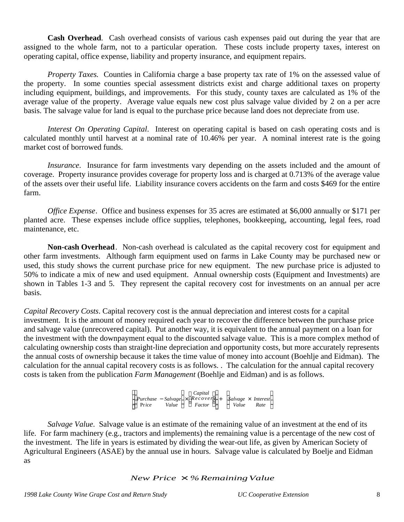**Cash Overhead**. Cash overhead consists of various cash expenses paid out during the year that are assigned to the whole farm, not to a particular operation. These costs include property taxes, interest on operating capital, office expense, liability and property insurance, and equipment repairs.

*Property Taxes.* Counties in California charge a base property tax rate of 1% on the assessed value of the property. In some counties special assessment districts exist and charge additional taxes on property including equipment, buildings, and improvements. For this study, county taxes are calculated as 1% of the average value of the property. Average value equals new cost plus salvage value divided by 2 on a per acre basis. The salvage value for land is equal to the purchase price because land does not depreciate from use.

*Interest On Operating Capital*. Interest on operating capital is based on cash operating costs and is calculated monthly until harvest at a nominal rate of 10.46% per year. A nominal interest rate is the going market cost of borrowed funds.

*Insurance*. Insurance for farm investments vary depending on the assets included and the amount of coverage. Property insurance provides coverage for property loss and is charged at 0.713% of the average value of the assets over their useful life. Liability insurance covers accidents on the farm and costs \$469 for the entire farm.

*Office Expense*. Office and business expenses for 35 acres are estimated at \$6,000 annually or \$171 per planted acre. These expenses include office supplies, telephones, bookkeeping, accounting, legal fees, road maintenance, etc.

**Non-cash Overhead**. Non-cash overhead is calculated as the capital recovery cost for equipment and other farm investments. Although farm equipment used on farms in Lake County may be purchased new or used, this study shows the current purchase price for new equipment. The new purchase price is adjusted to 50% to indicate a mix of new and used equipment. Annual ownership costs (Equipment and Investments) are shown in Tables 1-3 and 5. They represent the capital recovery cost for investments on an annual per acre basis.

*Capital Recovery Costs*. Capital recovery cost is the annual depreciation and interest costs for a capital investment. It is the amount of money required each year to recover the difference between the purchase price and salvage value (unrecovered capital). Put another way, it is equivalent to the annual payment on a loan for the investment with the downpayment equal to the discounted salvage value. This is a more complex method of calculating ownership costs than straight-line depreciation and opportunity costs, but more accurately represents the annual costs of ownership because it takes the time value of money into account (Boehlje and Eidman). The calculation for the annual capital recovery costs is as follows. . The calculation for the annual capital recovery costs is taken from the publication *Farm Management* (Boehlje and Eidman) and is as follows.

|       |       | Capital                                |                         |      |
|-------|-------|----------------------------------------|-------------------------|------|
|       |       | Purchase – Salvage $\times$ Recovery + | $Solve \times Interest$ |      |
| Price | Value | Factor                                 | Value                   | Rate |

*Salvage Value*. Salvage value is an estimate of the remaining value of an investment at the end of its life. For farm machinery (e.g., tractors and implements) the remaining value is a percentage of the new cost of the investment. The life in years is estimated by dividing the wear-out life, as given by American Society of Agricultural Engineers (ASAE) by the annual use in hours. Salvage value is calculated by Boelje and Eidman as

### *New Price* × *%RemainingValue*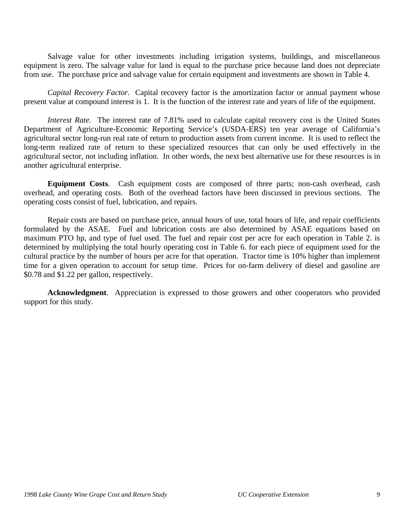Salvage value for other investments including irrigation systems, buildings, and miscellaneous equipment is zero. The salvage value for land is equal to the purchase price because land does not depreciate from use. The purchase price and salvage value for certain equipment and investments are shown in Table 4.

*Capital Recovery Factor.* Capital recovery factor is the amortization factor or annual payment whose present value at compound interest is 1. It is the function of the interest rate and years of life of the equipment.

*Interest Rate.* The interest rate of 7.81% used to calculate capital recovery cost is the United States Department of Agriculture-Economic Reporting Service's (USDA-ERS) ten year average of California's agricultural sector long-run real rate of return to production assets from current income. It is used to reflect the long-term realized rate of return to these specialized resources that can only be used effectively in the agricultural sector, not including inflation. In other words, the next best alternative use for these resources is in another agricultural enterprise.

**Equipment Costs**. Cash equipment costs are composed of three parts; non-cash overhead, cash overhead, and operating costs. Both of the overhead factors have been discussed in previous sections. The operating costs consist of fuel, lubrication, and repairs.

Repair costs are based on purchase price, annual hours of use, total hours of life, and repair coefficients formulated by the ASAE. Fuel and lubrication costs are also determined by ASAE equations based on maximum PTO hp, and type of fuel used. The fuel and repair cost per acre for each operation in Table 2. is determined by multiplying the total hourly operating cost in Table 6. for each piece of equipment used for the cultural practice by the number of hours per acre for that operation. Tractor time is 10% higher than implement time for a given operation to account for setup time. Prices for on-farm delivery of diesel and gasoline are \$0.78 and \$1.22 per gallon, respectively.

**Acknowledgment**. Appreciation is expressed to those growers and other cooperators who provided support for this study.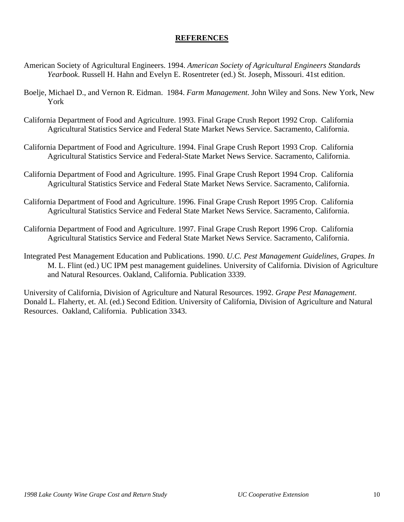## **REFERENCES**

- American Society of Agricultural Engineers. 1994. *American Society of Agricultural Engineers Standards Yearbook*. Russell H. Hahn and Evelyn E. Rosentreter (ed.) St. Joseph, Missouri. 41st edition.
- Boelje, Michael D., and Vernon R. Eidman. 1984. *Farm Management*. John Wiley and Sons. New York, New York
- California Department of Food and Agriculture. 1993. Final Grape Crush Report 1992 Crop. California Agricultural Statistics Service and Federal State Market News Service. Sacramento, California.
- California Department of Food and Agriculture. 1994. Final Grape Crush Report 1993 Crop. California Agricultural Statistics Service and Federal-State Market News Service. Sacramento, California.
- California Department of Food and Agriculture. 1995. Final Grape Crush Report 1994 Crop. California Agricultural Statistics Service and Federal State Market News Service. Sacramento, California.
- California Department of Food and Agriculture. 1996. Final Grape Crush Report 1995 Crop. California Agricultural Statistics Service and Federal State Market News Service. Sacramento, California.
- California Department of Food and Agriculture. 1997. Final Grape Crush Report 1996 Crop. California Agricultural Statistics Service and Federal State Market News Service. Sacramento, California.
- Integrated Pest Management Education and Publications. 1990. *U.C. Pest Management Guidelines, Grapes*. *In* M. L. Flint (ed.) UC IPM pest management guidelines. University of California. Division of Agriculture and Natural Resources. Oakland, California. Publication 3339.

University of California, Division of Agriculture and Natural Resources. 1992. *Grape Pest Management*. Donald L. Flaherty, et. Al. (ed.) Second Edition. University of California, Division of Agriculture and Natural Resources. Oakland, California. Publication 3343.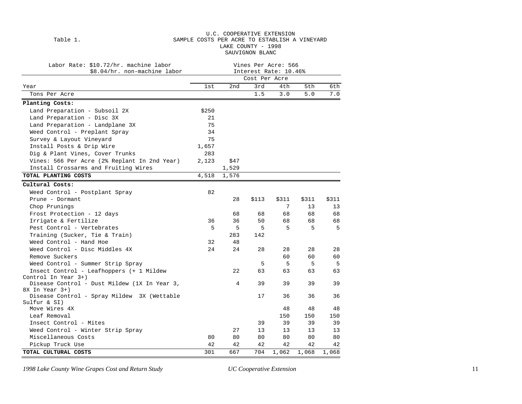#### U.C. COOPERATIVE EXTENSION Table 1. SAMPLE COSTS PER ACRE TO ESTABLISH A VINEYARD LAKE COUNTY - 1998 SAUVIGNON BLANC

| Labor Rate: \$10.72/hr. machine labor<br>\$8.04/hr. non-machine labor | Vines Per Acre: 566<br>Interest Rate: 10.46% |       |       |       |       |       |  |  |  |
|-----------------------------------------------------------------------|----------------------------------------------|-------|-------|-------|-------|-------|--|--|--|
|                                                                       | Cost Per Acre                                |       |       |       |       |       |  |  |  |
| Year                                                                  | lst                                          | 2nd   | 3rd   | 4th   | 5th   | 6th   |  |  |  |
| Tons Per Acre                                                         |                                              |       | 1.5   | 3.0   | 5.0   | 7.0   |  |  |  |
| Planting Costs:                                                       |                                              |       |       |       |       |       |  |  |  |
| Land Preparation - Subsoil 2X                                         | \$250                                        |       |       |       |       |       |  |  |  |
| Land Preparation - Disc 3X                                            | 21                                           |       |       |       |       |       |  |  |  |
| Land Preparation - Landplane 3X                                       | 75                                           |       |       |       |       |       |  |  |  |
| Weed Control - Preplant Spray                                         | 34                                           |       |       |       |       |       |  |  |  |
| Survey & Layout Vineyard                                              | 75                                           |       |       |       |       |       |  |  |  |
| Install Posts & Drip Wire                                             | 1,657                                        |       |       |       |       |       |  |  |  |
| Dig & Plant Vines, Cover Trunks                                       | 283                                          |       |       |       |       |       |  |  |  |
| Vines: 566 Per Acre (2% Replant In 2nd Year)                          | 2,123                                        | \$47  |       |       |       |       |  |  |  |
| Install Crossarms and Fruiting Wires                                  |                                              | 1,529 |       |       |       |       |  |  |  |
| TOTAL PLANTING COSTS                                                  | 4,518                                        | 1,576 |       |       |       |       |  |  |  |
| Cultural Costs:                                                       |                                              |       |       |       |       |       |  |  |  |
| Weed Control - Postplant Spray                                        | 82                                           |       |       |       |       |       |  |  |  |
| Prune - Dormant                                                       |                                              | 28    | \$113 | \$311 | \$311 | \$311 |  |  |  |
| Chop Prunings                                                         |                                              |       |       | 7     | 13    | 13    |  |  |  |
| Frost Protection - 12 days                                            |                                              | 68    | 68    | 68    | 68    | 68    |  |  |  |
| Irrigate & Fertilize                                                  | 36                                           | 36    | 50    | 68    | 68    | 68    |  |  |  |
| Pest Control - Vertebrates                                            | 5                                            | 5     | 5     | 5     | 5     | 5     |  |  |  |
| Training (Sucker, Tie & Train)                                        |                                              | 283   | 142   |       |       |       |  |  |  |
| Weed Control - Hand Hoe                                               | 32                                           | 48    |       |       |       |       |  |  |  |
| Weed Control - Disc Middles 4X                                        | 24                                           | 24    | 28    | 28    | 28    | 28    |  |  |  |
| Remove Suckers                                                        |                                              |       |       | 60    | 60    | 60    |  |  |  |
| Weed Control - Summer Strip Spray                                     |                                              |       | 5     | 5     | 5     | 5     |  |  |  |
| Insect Control - Leafhoppers (+ 1 Mildew                              |                                              | 22    | 63    | 63    | 63    | 63    |  |  |  |
| Control In Year 3+)                                                   |                                              |       |       |       |       |       |  |  |  |
| Disease Control - Dust Mildew (1X In Year 3,                          |                                              | 4     | 39    | 39    | 39    | 39    |  |  |  |
| 8X In Year 3+)                                                        |                                              |       |       |       |       |       |  |  |  |
| Disease Control - Spray Mildew 3X (Wettable                           |                                              |       | 17    | 36    | 36    | 36    |  |  |  |
| Sulfur & SI)                                                          |                                              |       |       |       |       |       |  |  |  |
| Move Wires 4X<br>Leaf Removal                                         |                                              |       |       | 48    | 48    | 48    |  |  |  |
|                                                                       |                                              |       |       | 150   | 150   | 150   |  |  |  |
| Insect Control - Mites                                                |                                              |       | 39    | 39    | 39    | 39    |  |  |  |
| Weed Control - Winter Strip Spray                                     |                                              | 27    | 13    | 13    | 13    | 13    |  |  |  |
| Miscellaneous Costs                                                   | 80                                           | 80    | 80    | 80    | 80    | 80    |  |  |  |
| Pickup Truck Use                                                      | 42                                           | 42    | 42    | 42    | 42    | 42    |  |  |  |
| TOTAL CULTURAL COSTS                                                  | 301                                          | 667   | 704   | 1,062 | 1,068 | 1,068 |  |  |  |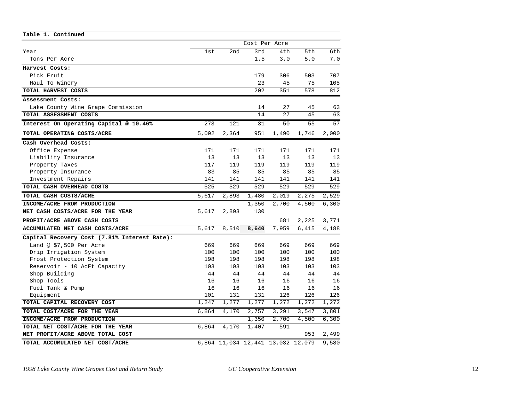| Table 1. Continued                           |               |                                   |       |       |       |       |
|----------------------------------------------|---------------|-----------------------------------|-------|-------|-------|-------|
|                                              | Cost Per Acre |                                   |       |       |       |       |
| Year                                         | 1st           | 2nd                               | 3rd   | 4th   | 5th   | 6th   |
| Tons Per Acre                                |               |                                   | 1.5   | 3.0   | 5.0   | 7.0   |
| Harvest Costs:                               |               |                                   |       |       |       |       |
| Pick Fruit                                   |               |                                   | 179   | 306   | 503   | 707   |
| Haul To Winery                               |               |                                   | 23    | 45    | 75    | 105   |
| TOTAL HARVEST COSTS                          |               |                                   | 202   | 351   | 578   | 812   |
| Assessment Costs:                            |               |                                   |       |       |       |       |
| Lake County Wine Grape Commission            |               |                                   | 14    | 27    | 45    | 63    |
| TOTAL ASSESSMENT COSTS                       |               |                                   | 14    | 27    | 45    | 63    |
| Interest On Operating Capital @ 10.46%       | 273           | 121                               | 31    | 50    | 55    | 57    |
| TOTAL OPERATING COSTS/ACRE                   | 5,092         | 2,364                             | 951   | 1,490 | 1,746 | 2,000 |
| Cash Overhead Costs:                         |               |                                   |       |       |       |       |
| Office Expense                               | 171           | 171                               | 171   | 171   | 171   | 171   |
| Liability Insurance                          | 13            | 13                                | 13    | 13    | 13    | 13    |
| Property Taxes                               | 117           | 119                               | 119   | 119   | 119   | 119   |
| Property Insurance                           | 83            | 85                                | 85    | 85    | 85    | 85    |
| Investment Repairs                           | 141           | 141                               | 141   | 141   | 141   | 141   |
| TOTAL CASH OVERHEAD COSTS                    | 525           | 529                               | 529   | 529   | 529   | 529   |
| TOTAL CASH COSTS/ACRE                        | 5,617         | 2,893                             | 1,480 | 2,019 | 2,275 | 2,529 |
| INCOME/ACRE FROM PRODUCTION                  |               |                                   | 1,350 | 2,700 | 4,500 | 6,300 |
| NET CASH COSTS/ACRE FOR THE YEAR             | 5,617         | 2,893                             | 130   |       |       |       |
| PROFIT/ACRE ABOVE CASH COSTS                 |               |                                   |       | 681   | 2,225 | 3,771 |
| ACCUMULATED NET CASH COSTS/ACRE              | 5,617         | 8,510                             | 8,640 | 7,959 | 6,415 | 4,188 |
| Capital Recovery Cost (7.81% Interest Rate): |               |                                   |       |       |       |       |
| Land @ \$7,500 Per Acre                      | 669           | 669                               | 669   | 669   | 669   | 669   |
| Drip Irrigation System                       | 100           | 100                               | 100   | 100   | 100   | 100   |
| Frost Protection System                      | 198           | 198                               | 198   | 198   | 198   | 198   |
| Reservoir - 10 AcFt Capacity                 | 103           | 103                               | 103   | 103   | 103   | 103   |
| Shop Building                                | 44            | 44                                | 44    | 44    | 44    | 44    |
| Shop Tools                                   | 16            | 16                                | 16    | 16    | 16    | 16    |
| Fuel Tank & Pump                             | 16            | 16                                | 16    | 16    | 16    | 16    |
| Equipment                                    | 101           | 131                               | 131   | 126   | 126   | 126   |
| TOTAL CAPITAL RECOVERY COST                  | 1,247         | 1,277                             | 1,277 | 1,272 | 1,272 | 1,272 |
| TOTAL COST/ACRE FOR THE YEAR                 | 6,864         | 4,170                             | 2,757 | 3,291 | 3,547 | 3,801 |
| INCOME/ACRE FROM PRODUCTION                  |               |                                   | 1,350 | 2,700 | 4,500 | 6,300 |
| TOTAL NET COST/ACRE FOR THE YEAR             | 6,864         | 4,170                             | 1,407 | 591   |       |       |
| NET PROFIT/ACRE ABOVE TOTAL COST             |               |                                   |       |       | 953   | 2,499 |
| TOTAL ACCUMULATED NET COST/ACRE              |               | 6,864 11,034 12,441 13,032 12,079 |       |       |       | 9,580 |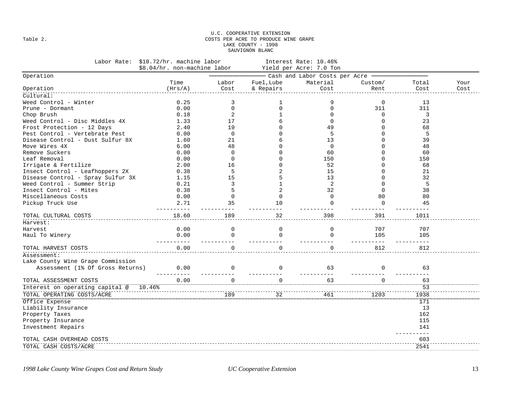#### U.C. COOPERATIVE EXTENSION Table 2. COSTS PER ACRE TO PRODUCE WINE GRAPE LAKE COUNTY - 1998 SAUVIGNON BLANC

| Labor Rate:                       | \$10.72/hr. machine labor<br>Interest Rate: 10.46%<br>\$8.04/hr. non-machine labor<br>Yield per Acre: 7.0 Ton |                |                |                                           |             |           |      |
|-----------------------------------|---------------------------------------------------------------------------------------------------------------|----------------|----------------|-------------------------------------------|-------------|-----------|------|
| Operation                         |                                                                                                               |                |                | Cash and Labor Costs per Acre ----------- |             |           |      |
|                                   | Time                                                                                                          | Labor          | Fuel, Lube     | Material                                  | Custom/     | Total     | Your |
| Operation                         | (Hrs/A)                                                                                                       | Cost           | & Repairs      | Cost                                      | Rent        | Cost      | Cost |
| Cultural:                         |                                                                                                               |                |                |                                           |             |           |      |
| Weed Control - Winter             | 0.25                                                                                                          | 3              | 1              | 9                                         | 0           | 13        |      |
| Prune - Dormant                   | 0.00                                                                                                          | $\mathbf 0$    | $\mathbf 0$    | $\mathbf 0$                               | 311         | 311       |      |
| Chop Brush                        | 0.18                                                                                                          | 2              |                | $\Omega$                                  | $\mathbf 0$ | 3         |      |
| Weed Control - Disc Middles 4X    | 1.33                                                                                                          | 17             | 6              | $\Omega$                                  | $\Omega$    | 23        |      |
| Frost Protection - 12 Days        | 2.40                                                                                                          | 19             | U              | 49                                        | $\Omega$    | 68        |      |
| Pest Control - Vertebrate Pest    | 0.00                                                                                                          | $\mathbf 0$    | U              | 5                                         | $\Omega$    | 5         |      |
| Disease Control - Dust Sulfur 8X  | 1.60                                                                                                          | 21             | 6              | 13                                        | $\Omega$    | 39        |      |
| Move Wires 4X                     | 6.00                                                                                                          | 48             | U              | $\mathbf 0$                               | $\Omega$    | 48        |      |
| Remove Suckers                    | 0.00                                                                                                          | $\overline{0}$ | N              | 60                                        | $\Omega$    | 60        |      |
| Leaf Removal                      | 0.00                                                                                                          | $\overline{0}$ |                | 150                                       | $\Omega$    | 150       |      |
| Irrigate & Fertilize              | 2.00                                                                                                          | 16             | $\Omega$       | 52                                        | $\Omega$    | 68        |      |
| Insect Control - Leafhoppers 2X   | 0.38                                                                                                          | 5              | 2              | 15                                        | $\Omega$    | 21        |      |
| Disease Control - Spray Sulfur 3X | 1.15                                                                                                          | 15             | 5              | 13                                        | $\Omega$    | 32        |      |
| Weed Control - Summer Strip       | 0.21                                                                                                          | $\overline{3}$ |                | 2                                         | $\Omega$    | 5         |      |
| Insect Control - Mites            | 0.38                                                                                                          | 5              | $\overline{2}$ | 32                                        | $\Omega$    | 38        |      |
| Miscellaneous Costs               | 0.00                                                                                                          | $\mathbf 0$    | $\mathbf 0$    | $\Omega$                                  | 80          | 80        |      |
| Pickup Truck Use                  | 2.71                                                                                                          | 35             | 10             | $\Omega$                                  | $\mathbf 0$ | 45        |      |
|                                   |                                                                                                               |                |                |                                           |             |           |      |
| TOTAL CULTURAL COSTS              | 18.60                                                                                                         | 189            | 32             | 398                                       | 391         | 1011      |      |
| Harvest:                          |                                                                                                               |                |                |                                           |             |           |      |
| Harvest                           | 0.00                                                                                                          | $\mathbf 0$    | $\mathbf 0$    | $\Omega$                                  | 707         | 707       |      |
| Haul To Winery                    | 0.00                                                                                                          | $\Omega$       | $\Omega$       | $\Omega$                                  | 105         | 105       |      |
|                                   |                                                                                                               |                |                |                                           |             |           |      |
| TOTAL HARVEST COSTS               | 0.00                                                                                                          | $\Omega$       | $\Omega$       | $\Omega$                                  | 812         | 812       |      |
| Assessment:                       |                                                                                                               |                |                |                                           |             |           |      |
| Lake County Wine Grape Commission |                                                                                                               |                |                |                                           |             |           |      |
| Assessment (1% Of Gross Returns)  | 0.00                                                                                                          | $\Omega$       | $\Omega$       | 63                                        | $\Omega$    | 63        |      |
|                                   |                                                                                                               |                |                |                                           |             |           |      |
| TOTAL ASSESSMENT COSTS            | 0.00                                                                                                          | $\cap$         | $\Omega$       | 63                                        | $\cap$      | 63        |      |
| Interest on operating capital @   | 10.46%                                                                                                        |                |                |                                           |             | 53        |      |
| TOTAL OPERATING COSTS/ACRE        |                                                                                                               | 189            | 32             | 461                                       | 1203        | 1938      |      |
| Office Expense                    |                                                                                                               |                |                |                                           |             | 171       |      |
| Liability Insurance               |                                                                                                               |                |                |                                           |             | 13        |      |
| Property Taxes                    |                                                                                                               |                |                |                                           |             | 162       |      |
| Property Insurance                |                                                                                                               |                |                |                                           |             | 115       |      |
| Investment Repairs                |                                                                                                               |                |                |                                           |             | 141       |      |
|                                   |                                                                                                               |                |                |                                           |             | $- - - -$ |      |
| TOTAL CASH OVERHEAD COSTS         |                                                                                                               |                |                |                                           |             | 603       |      |
| TOTAL CASH COSTS/ACRE             |                                                                                                               |                |                |                                           |             | 2541      |      |
|                                   |                                                                                                               |                |                |                                           |             |           |      |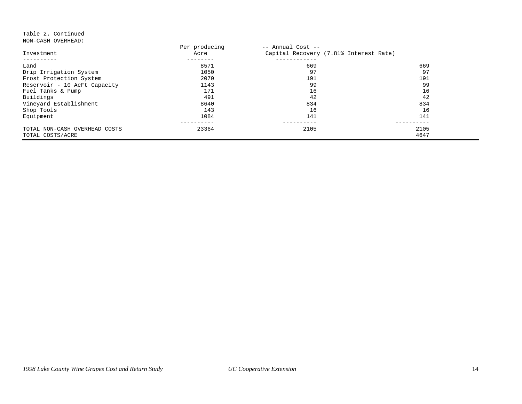### Table 2. Continued

| NON-CASH OVERHEAD:            |                       |                                                             |      |
|-------------------------------|-----------------------|-------------------------------------------------------------|------|
| Investment                    | Per producing<br>Acre | -- Annual Cost --<br>Capital Recovery (7.81% Interest Rate) |      |
|                               |                       |                                                             |      |
| Land                          | 8571                  | 669                                                         | 669  |
| Drip Irrigation System        | 1050                  | 97                                                          | 97   |
| Frost Protection System       | 2070                  | 191                                                         | 191  |
| Reservoir - 10 AcFt Capacity  | 1143                  | 99                                                          | 99   |
| Fuel Tanks & Pump             | 171                   | 16                                                          | 16   |
| Buildings                     | 491                   | 42                                                          | 42   |
| Vineyard Establishment        | 8640                  | 834                                                         | 834  |
| Shop Tools                    | 143                   | 16                                                          | 16   |
| Equipment                     | 1084                  | 141                                                         | 141  |
|                               |                       |                                                             |      |
| TOTAL NON-CASH OVERHEAD COSTS | 23364                 | 2105                                                        | 2105 |
| TOTAL COSTS/ACRE              |                       |                                                             | 4647 |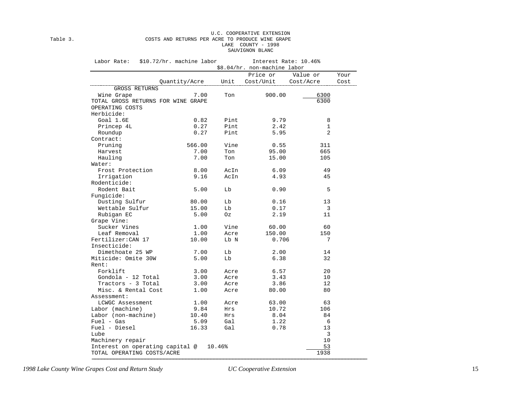#### U.C. COOPERATIVE EXTENSION Table 3. COSTS AND RETURNS PER ACRE TO PRODUCE WINE GRAPE LAKE COUNTY - 1998 SAUVIGNON BLANC

| Labor Rate:                        | \$10.72/hr. machine labor |        | Interest Rate: 10.46%<br>\$8.04/hr. non-machine labor |              |      |
|------------------------------------|---------------------------|--------|-------------------------------------------------------|--------------|------|
|                                    |                           |        | Price or                                              | Value or     | Your |
|                                    | Quantity/Acre             | Unit   | Cost/Unit                                             | Cost/Acre    | Cost |
| <b>GROSS RETURNS</b>               |                           |        |                                                       |              |      |
| Wine Grape                         | 7.00                      | Ton    | 900.00                                                | 6300         |      |
| TOTAL GROSS RETURNS FOR WINE GRAPE |                           |        |                                                       | 6300         |      |
| OPERATING COSTS                    |                           |        |                                                       |              |      |
| Herbicide:                         |                           |        |                                                       |              |      |
| Goal 1.6E                          | 0.82                      | Pint   | 9.79                                                  | 8            |      |
| Princep 4L                         | 0.27                      | Pint   | 2.42                                                  | $\mathbf{1}$ |      |
| Roundup                            | 0.27                      | Pint   | 5.95                                                  | 2            |      |
| Contract:                          |                           |        |                                                       |              |      |
| Pruning                            | 566.00                    | Vine   | 0.55                                                  | 311          |      |
| Harvest                            | 7.00                      | Ton    | 95.00                                                 | 665          |      |
| Hauling                            | 7.00                      | Ton    | 15.00                                                 | 105          |      |
| Water:                             |                           |        |                                                       |              |      |
| Frost Protection                   | 8.00                      | AcIn   | 6.09                                                  | 49           |      |
| Irrigation                         | 9.16                      | AcIn   | 4.93                                                  | 45           |      |
| Rodenticide:                       |                           |        |                                                       |              |      |
| Rodent Bait                        | 5.00                      | Lb     | 0.90                                                  | 5            |      |
| Fungicide:                         |                           |        |                                                       |              |      |
| Dusting Sulfur                     | 80.00                     | Lb     | 0.16                                                  | 13           |      |
| Wettable Sulfur                    | 15.00                     | Lb     | 0.17                                                  | 3            |      |
| Rubigan EC                         | 5.00                      | Oz     | 2.19                                                  | 11           |      |
| Grape Vine:                        |                           |        |                                                       |              |      |
| Sucker Vines                       | 1.00                      | Vine   | 60.00                                                 | 60           |      |
| Leaf Removal                       | 1.00                      | Acre   | 150.00                                                | 150          |      |
| Fertilizer: CAN 17                 | 10.00                     | Lb N   | 0.706                                                 | 7            |      |
| Insecticide:                       |                           |        |                                                       |              |      |
| Dimethoate 25 WP                   | 7.00                      | Lb     | 2.00                                                  | 14           |      |
| Miticide: Omite 30W                | 5.00                      | Lb     | 6.38                                                  | 32           |      |
| Rent:                              |                           |        |                                                       |              |      |
| Forklift                           | 3.00                      | Acre   | 6.57                                                  | 20           |      |
| Gondola - 12 Total                 | 3.00                      | Acre   | 3.43                                                  | 10           |      |
| Tractors - 3 Total                 | 3.00                      | Acre   | 3.86                                                  | 12           |      |
| Misc. & Rental Cost                | 1.00                      | Acre   | 80.00                                                 | 80           |      |
| Assessment:                        |                           |        |                                                       |              |      |
| LCWGC Assessment                   | 1.00                      | Acre   | 63.00                                                 | 63           |      |
| Labor (machine)                    | 9.84                      | Hrs    | 10.72                                                 | 106          |      |
| Labor (non-machine)                | 10.40                     | Hrs    | 8.04                                                  | 84           |      |
| $Fuel - Gas$                       | 5.09                      | Gal    | 1.22                                                  | 6            |      |
| Fuel - Diesel                      | 16.33                     | Gal    | 0.78                                                  | 13           |      |
| Lube                               |                           |        |                                                       | 3            |      |
| Machinery repair                   |                           |        |                                                       | 10           |      |
| Interest on operating capital @    |                           | 10.46% |                                                       | 53           |      |
| TOTAL OPERATING COSTS/ACRE         |                           |        |                                                       | 1938         |      |

−−−−−−−−−−−−−−−−−−−−−−−−−−−−−−−−−−−−−−−−−−−−−−−−−−−−−−−−−−−−−−−−−−−−−−−−−−−−−−−−−−−−−−−−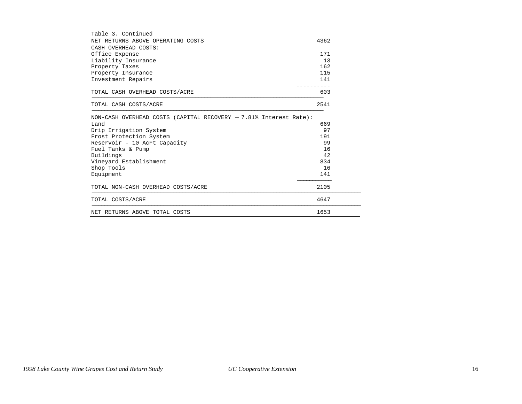| Table 3. Continued                                                      |      |
|-------------------------------------------------------------------------|------|
| NET RETURNS ABOVE OPERATING COSTS                                       | 4362 |
| CASH OVERHEAD COSTS:                                                    |      |
| Office Expense                                                          | 171  |
| Liability Insurance                                                     | 13   |
| Property Taxes                                                          | 162  |
| Property Insurance                                                      | 115  |
| Investment Repairs                                                      | 141  |
| TOTAL CASH OVERHEAD COSTS/ACRE                                          | 603  |
| TOTAL CASH COSTS/ACRE                                                   | 2541 |
| NON-CASH OVERHEAD COSTS (CAPITAL RECOVERY - 7.81% Interest Rate):       |      |
| Land                                                                    | 669  |
| Drip Irrigation System                                                  | 97   |
| Frost Protection System                                                 | 191  |
| Reservoir - 10 AcFt Capacity                                            | 99   |
| Fuel Tanks & Pump                                                       | 16   |
| Buildings                                                               | 42   |
| Vineyard Establishment                                                  | 834  |
| Shop Tools                                                              | 16   |
| Equipment                                                               | 141  |
| TOTAL NON-CASH OVERHEAD COSTS/ACRE<br>--------------------------------- | 2105 |
| TOTAL COSTS/ACRE                                                        | 4647 |
| NET RETURNS ABOVE TOTAL COSTS                                           | 1653 |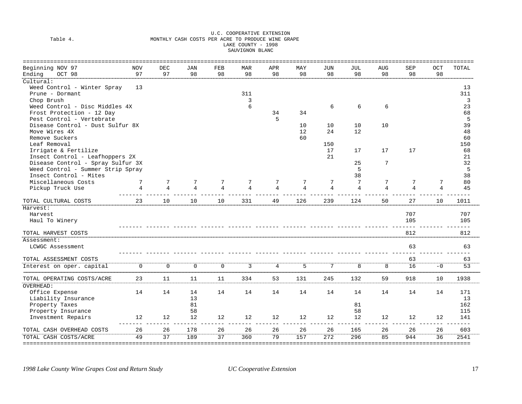#### U.C. COOPERATIVE EXTENSION Table 4. MONTHLY CASH COSTS PER ACRE TO PRODUCE WINE GRAPE LAKE COUNTY - 1998 SAUVIGNON BLANC

| ========================          |             |                 |                |                 |                |                |                |                |                |                |     |                | ======== |
|-----------------------------------|-------------|-----------------|----------------|-----------------|----------------|----------------|----------------|----------------|----------------|----------------|-----|----------------|----------|
| Beginning NOV 97                  | <b>NOV</b>  | <b>DEC</b>      | JAN            | FEB             | <b>MAR</b>     | APR            | MAY            | <b>JUN</b>     | JUL            | <b>AUG</b>     | SEP | OCT            | TOTAL    |
| Ending<br>OCT 98                  | 97          | 97              | 98             | 98              | 98             | 98             | 98             | 98             | 98             | 98             | 98  | 98             |          |
| Cultural:                         |             |                 |                |                 |                |                |                |                |                |                |     |                |          |
| Weed Control - Winter Spray       | 13          |                 |                |                 |                |                |                |                |                |                |     |                | 13       |
| Prune - Dormant                   |             |                 |                |                 | 311            |                |                |                |                |                |     |                | 311      |
| Chop Brush                        |             |                 |                |                 | 3              |                |                |                |                |                |     |                | 3        |
| Weed Control - Disc Middles 4X    |             |                 |                |                 | 6              |                |                | 6              | 6              | 6              |     |                | 23       |
| Frost Protection - 12 Day         |             |                 |                |                 |                | 34             | 34             |                |                |                |     |                | 68       |
| Pest Control - Vertebrate         |             |                 |                |                 |                | 5              |                |                |                |                |     |                | 5        |
| Disease Control - Dust Sulfur 8X  |             |                 |                |                 |                |                | 10             | 10             | 10             | 10             |     |                | 39       |
| Move Wires 4X                     |             |                 |                |                 |                |                | 12             | 24             | 12             |                |     |                | 48       |
| Remove Suckers                    |             |                 |                |                 |                |                | 60             |                |                |                |     |                | 60       |
| Leaf Removal                      |             |                 |                |                 |                |                |                | 150            |                |                |     |                | 150      |
| Irrigate & Fertilize              |             |                 |                |                 |                |                |                | 17             | 17             | 17             | 17  |                | 68       |
| Insect Control - Leafhoppers 2X   |             |                 |                |                 |                |                |                | 21             |                |                |     |                | 21       |
| Disease Control - Spray Sulfur 3X |             |                 |                |                 |                |                |                |                | 25             | 7              |     |                | 32       |
| Weed Control - Summer Strip Spray |             |                 |                |                 |                |                |                |                | 5              |                |     |                | 5        |
| Insect Control - Mites            |             |                 |                |                 |                |                |                |                | 38             |                |     |                | 38       |
| Miscellaneous Costs               | 7           | 7               | 7              | 7               | 7              | 7              | 7              | 7              | 7              | 7              | 7   | 7              | 80       |
| Pickup Truck Use                  | 4           | $\overline{4}$  | $\overline{4}$ | $\overline{4}$  | $\overline{4}$ | 4              | $\overline{4}$ | $\overline{4}$ | $\overline{4}$ | $\overline{4}$ | 4   | $\overline{4}$ | 45       |
|                                   |             |                 |                |                 |                |                |                |                |                |                |     |                |          |
| TOTAL CULTURAL COSTS              | 23          | 10              | 10             | 10              | 331            | 49             | 126            | 239            | 124            | 50             | 27  | 10             | 1011     |
| Harvest:                          |             |                 |                |                 |                |                |                |                |                |                |     |                |          |
| Harvest                           |             |                 |                |                 |                |                |                |                |                |                | 707 |                | 707      |
| Haul To Winery                    |             |                 |                |                 |                |                |                |                |                |                | 105 |                | 105      |
|                                   |             |                 |                |                 |                |                |                |                |                |                |     |                | $- - -$  |
| TOTAL HARVEST COSTS               |             |                 |                |                 |                |                |                |                |                |                | 812 |                | 812      |
| Assessment:                       |             |                 |                |                 |                |                |                |                |                |                |     |                |          |
| LCWGC Assessment                  |             |                 |                |                 |                |                |                |                |                |                | 63  |                | 63       |
|                                   |             |                 |                |                 |                |                |                |                |                |                |     |                |          |
| TOTAL ASSESSMENT COSTS            |             |                 |                |                 |                |                |                |                |                |                | 63  |                | 63       |
| Interest on oper. capital         | $\mathbf 0$ | $\mathbf 0$     | $\mathbf{0}$   | $\mathbf 0$     | 3              | $\overline{4}$ | 5              | 7              | 8              | 8              | 16  | $-0$           | 53       |
| TOTAL OPERATING COSTS/ACRE        | 23          | 11              | 11             | 11              | 334            | 53             | 131            | 245            | 132            | 59             | 918 | 10             | 1938     |
| OVERHEAD:                         |             |                 |                |                 |                |                |                |                |                |                |     |                |          |
| Office Expense                    | 14          | 14              | 14             | 14              | 14             | 14             | 14             | 14             | 14             | 14             | 14  | 14             | 171      |
| Liability Insurance               |             |                 | 13             |                 |                |                |                |                |                |                |     |                | 13       |
| Property Taxes                    |             |                 | 81             |                 |                |                |                |                | 81             |                |     |                | 162      |
| Property Insurance                |             |                 | 58             |                 |                |                |                |                | 58             |                |     |                | 115      |
| Investment Repairs                | 12          | 12              | 12             | 12              | 12             | 12             | 12             | 12             | 12             | 12             | 12  | 12             | 141      |
|                                   |             |                 |                |                 |                |                |                |                |                |                |     |                | $- - -$  |
| TOTAL CASH OVERHEAD COSTS         | 26          | 26              | 178            | 26              | 26             | 26             | 26             | 26             | 165            | 26             | 26  | 26             | 603      |
| TOTAL CASH COSTS/ACRE             | 49          | $\overline{37}$ | 189            | $\overline{37}$ | 360            | 79             | 157            | 272            | 296            | 85             | 944 | 36             | 2541     |
| ============================      |             |                 |                |                 |                |                |                |                |                |                |     |                |          |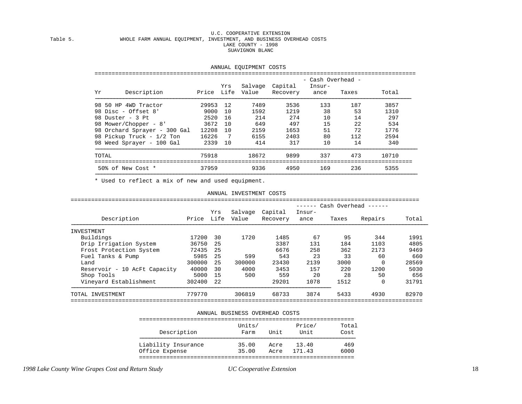#### U.C. COOPERATIVE EXTENSION Table 5. WHOLE FARM ANNUAL EQUIPMENT, INVESTMENT, AND BUSINESS OVERHEAD COSTS LAKE COUNTY - 1998 SUAVIGNON BLANC

|       | - Cash Overhead -            |       |      |         |                                      |                |       |       |  |  |
|-------|------------------------------|-------|------|---------|--------------------------------------|----------------|-------|-------|--|--|
| Υr    | Description                  |       | Yrs  | Salvage | Capital<br>Price Life Value Recovery | Insur-<br>ance | Taxes | Total |  |  |
|       | 98 50 HP 4WD Tractor         | 29953 | 12   | 7489    | 3536                                 | 133            | 187   | 3857  |  |  |
|       | 98 Disc - Offset 8'          | 9000  | 10   | 1592    | 1219                                 | 38             | 53    | 1310  |  |  |
|       | 98 Duster - 3 Pt             | 2520  | 16   | 214     | 274                                  | 10             | 14    | 297   |  |  |
|       | 98 Mower/Chopper - 8'        | 3672  | - 10 | 649     | 497                                  | 15             | 22    | 534   |  |  |
|       | 98 Orchard Sprayer - 300 Gal | 12208 | - 10 | 2159    | 1653                                 | 51             | 72    | 1776  |  |  |
|       | 98 Pickup Truck - 1/2 Ton    | 16226 | 7    | 6155    | 2403                                 | 80             | 112   | 2594  |  |  |
|       | 98 Weed Sprayer - 100 Gal    | 2339  | 10   | 414     | 317                                  | 10             | 14    | 340   |  |  |
| TOTAL |                              | 75918 |      | 18672   | 9899                                 | 337            | 473   | 10710 |  |  |
|       | 50% of New Cost *            | 37959 |      | 9336    | 4950                                 | 169            | 236   | 5355  |  |  |

\* Used to reflect a mix of new and used equipment.

#### ANNUAL INVESTMENT COSTS

|                              |        |             |                  |                     |                |       | ------ Cash Overhead ------ |       |
|------------------------------|--------|-------------|------------------|---------------------|----------------|-------|-----------------------------|-------|
| Description                  | Price  | Yrs<br>Life | Salvage<br>Value | Capital<br>Recovery | Insur-<br>ance | Taxes | Repairs                     | Total |
| INVESTMENT                   |        |             |                  |                     |                |       |                             |       |
| Buildings                    | 17200  | 30          | 1720             | 1485                | 67             | 95    | 344                         | 1991  |
| Drip Irrigation System       | 36750  | 25          |                  | 3387                | 131            | 184   | 1103                        | 4805  |
| Frost Protection System      | 72435  | 25          |                  | 6676                | 258            | 362   | 2173                        | 9469  |
| Fuel Tanks & Pump            | 5985   | 25          | 599              | 543                 | 23             | 33    | 60                          | 660   |
| Land                         | 300000 | 25          | 300000           | 23430               | 2139           | 3000  | $\Omega$                    | 28569 |
| Reservoir - 10 AcFt Capacity | 40000  | 30          | 4000             | 3453                | 157            | 220   | 1200                        | 5030  |
| Shop Tools                   | 5000   | 15          | 500              | 559                 | 20             | 28    | 50                          | 656   |
| Vineyard Establishment       | 302400 | 22          |                  | 29201               | 1078           | 1512  | 0                           | 31791 |
| TOTAL INVESTMENT             | 779770 |             | 306819           | 68733               | 3874           | 5433  | 4930                        | 82970 |

#### ANNUAL BUSINESS OVERHEAD COSTS

|                     | Units/ |      | Price/ | Total |
|---------------------|--------|------|--------|-------|
| Description         | Farm   | Unit | Unit   | Cost  |
| Liability Insurance | 35.00  | Acre | 13.40  | 469   |
| Office Expense      | 35.00  | Acre | 171.43 | 6000  |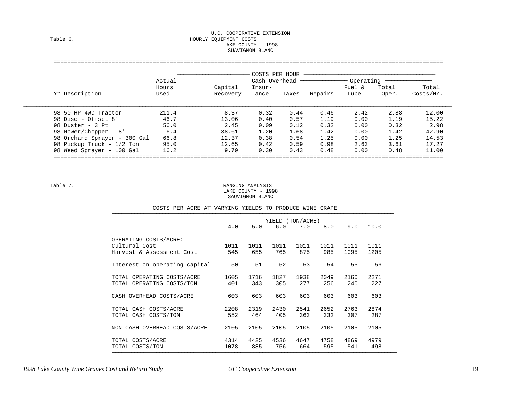#### U.C. COOPERATIVE EXTENSION Table 6. Table 6. LAKE COUNTY - 1998 SUAVIGNON BLANC

### ================================================================================================================== −−−−−−−−−−−−−−−−−−−−−−− COSTS PER HOUR −−−−−−−−−−−−−−−−−−−−−−−−−−−−−−−−−−−−−−−−−− Actual - Cash Overhead --------------- Operating -------------- Hours Capital Insur- Fuel & Total Total Yr Description Used Recovery ance Taxes Repairs Lube Oper. Costs/Hr. −−−−−−−−−−−−−−−−−−−−−−−−−−−−−−−−−−−−−−−−−−−−−−−−−−−−−−−−−−−−−−−−−−−−−−−−−−−−−−−−−−−−−−−−−−−−−−−−−−−−−−−−−−−−−−−−−−−−−−−−−−−−−−−−−−−−−−−−− 98 50 HP 4WD Tractor 211.4 8.37 0.32 0.44 0.46 2.42 2.88 12.00 98 Disc - Offset 8' 46.7 13.06 0.40 0.57 1.19 0.00 1.19 15.22 98 Duster - 3 Pt 56.0 2.45 0.09 0.12 0.32 0.00 0.32 2.98 98 Mower/Chopper - 8' 6.4 38.61 1.20 1.68 1.42 0.00 1.42 42.90 98 Orchard Sprayer - 300 Gal 66.8 12.37 0.38 0.54 1.25 0.00 1.25 14.53 98 Pickup Truck - 1/2 Ton 95.0 12.65 0.42 0.59 0.98 2.63 3.61 17.27 98 Weed Sprayer - 100 Gal 16.2 9.79 0.30 0.43 0.48 0.00 0.48 11.00 ==================================================================================================================

 Table 7. RANGING ANALYSIS LAKE COUNTY - 1998 SAUVIGNON BLANC

|  |  |  |  | COSTS PER ACRE AT VARYING YIELDS TO PRODUCE WINE GRAPE |  |
|--|--|--|--|--------------------------------------------------------|--|
|  |  |  |  |                                                        |  |

| 4.0  |      | 6.0  |      |      |                         | $9.0 \quad 10.0$ |
|------|------|------|------|------|-------------------------|------------------|
|      |      |      |      |      |                         |                  |
| 1011 | 1011 | 1011 | 1011 | 1011 | 1011                    | 1011             |
| 545  | 655  | 765  | 875  | 985  | 1095                    | 1205             |
| 50   | 51   | 52   | 53   | 54   | 55                      | 56               |
| 1605 | 1716 | 1827 | 1938 | 2049 | 2160                    | 2271             |
| 401  | 343  | 305  | 277  | 256  | 240                     | 227              |
| 603  | 603  | 603  | 603  | 603  | 603                     | 603              |
| 2208 | 2319 | 2430 | 2541 | 2652 | 2763                    | 2874             |
| 552  | 464  | 405  | 363  | 332  | 307                     | 287              |
| 2105 | 2105 | 2105 | 2105 | 2105 | 2105                    | 2105             |
| 4314 | 4425 | 4536 | 4647 | 4758 | 4869                    | 4979             |
| 1078 | 885  | 756  | 664  | 595  | 541                     | 498              |
|      |      |      | 5.0  |      | YIELD (TON/ACRE)<br>7.0 | 8.0              |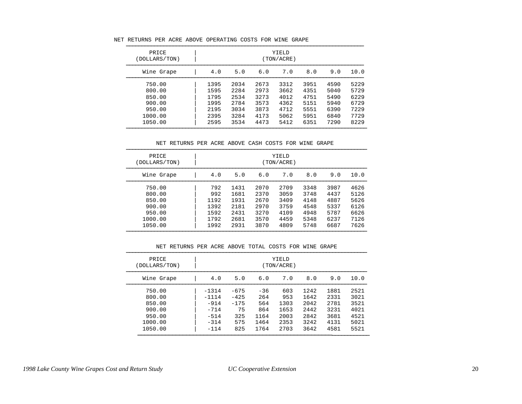|  |  |  |  |  | NET RETURNS PER ACRE ABOVE OPERATING COSTS FOR WINE GRAPE |  |  |  |  |  |
|--|--|--|--|--|-----------------------------------------------------------|--|--|--|--|--|
|--|--|--|--|--|-----------------------------------------------------------|--|--|--|--|--|

| PRICE<br>(DOLLARS/TON) |      | YIELD<br>(TON/ACRE) |      |      |      |      |      |  |
|------------------------|------|---------------------|------|------|------|------|------|--|
| Wine Grape             | 4.0  | 5.0                 | 6.0  | 7.0  | 8.0  | 9.0  | 10.0 |  |
| 750.00                 | 1395 | 2034                | 2673 | 3312 | 3951 | 4590 | 5229 |  |
| 800.00                 | 1595 | 2284                | 2973 | 3662 | 4351 | 5040 | 5729 |  |
| 850.00                 | 1795 | 2534                | 3273 | 4012 | 4751 | 5490 | 6229 |  |
| 900.00                 | 1995 | 2784                | 3573 | 4362 | 5151 | 5940 | 6729 |  |
| 950.00                 | 2195 | 3034                | 3873 | 4712 | 5551 | 6390 | 7229 |  |
| 1000.00                | 2395 | 3284                | 4173 | 5062 | 5951 | 6840 | 7729 |  |
| 1050.00                | 2595 | 3534                | 4473 | 5412 | 6351 | 7290 | 8229 |  |

NET RETURNS PER ACRE ABOVE CASH COSTS FOR WINE GRAPE

| PRICE<br>(DOLLARS/TON) |  | YIELD<br>(TON/ACRE) |      |      |      |      |      |      |  |  |
|------------------------|--|---------------------|------|------|------|------|------|------|--|--|
| Wine Grape             |  | 4.0                 | 5.0  | 6.0  | 7.0  | 8.0  | 9.0  | 10.0 |  |  |
| 750.00                 |  | 792                 | 1431 | 2070 | 2709 | 3348 | 3987 | 4626 |  |  |
| 800.00                 |  | 992                 | 1681 | 2370 | 3059 | 3748 | 4437 | 5126 |  |  |
| 850.00                 |  | 1192                | 1931 | 2670 | 3409 | 4148 | 4887 | 5626 |  |  |
| 900.00                 |  | 1392                | 2181 | 2970 | 3759 | 4548 | 5337 | 6126 |  |  |
| 950.00                 |  | 1592                | 2431 | 3270 | 4109 | 4948 | 5787 | 6626 |  |  |
| 1000.00                |  | 1792                | 2681 | 3570 | 4459 | 5348 | 6237 | 7126 |  |  |
| 1050.00                |  | 1992                | 2931 | 3870 | 4809 | 5748 | 6687 | 7626 |  |  |

#### NET RETURNS PER ACRE ABOVE TOTAL COSTS FOR WINE GRAPE

| PRICE<br>(DOLLARS/TON) | YIELD<br>(TON/ACRE) |        |       |      |      |      |      |  |  |
|------------------------|---------------------|--------|-------|------|------|------|------|--|--|
| Wine Grape             | 4.0                 | 5.0    | 6.0   | 7.0  | 8.0  | 9.0  | 10.0 |  |  |
| 750.00                 | $-1314$             | $-675$ | $-36$ | 603  | 1242 | 1881 | 2521 |  |  |
| 800.00                 | $-1114$             | $-425$ | 264   | 953  | 1642 | 2331 | 3021 |  |  |
| 850.00                 | $-914$              | $-175$ | 564   | 1303 | 2042 | 2781 | 3521 |  |  |
| 900.00                 | $-714$              | 75     | 864   | 1653 | 2442 | 3231 | 4021 |  |  |
| 950.00                 | $-514$              | 325    | 1164  | 2003 | 2842 | 3681 | 4521 |  |  |
| 1000.00                | $-314$              | 575    | 1464  | 2353 | 3242 | 4131 | 5021 |  |  |
| 1050.00                | $-114$              | 825    | 1764  | 2703 | 3642 | 4581 | 5521 |  |  |